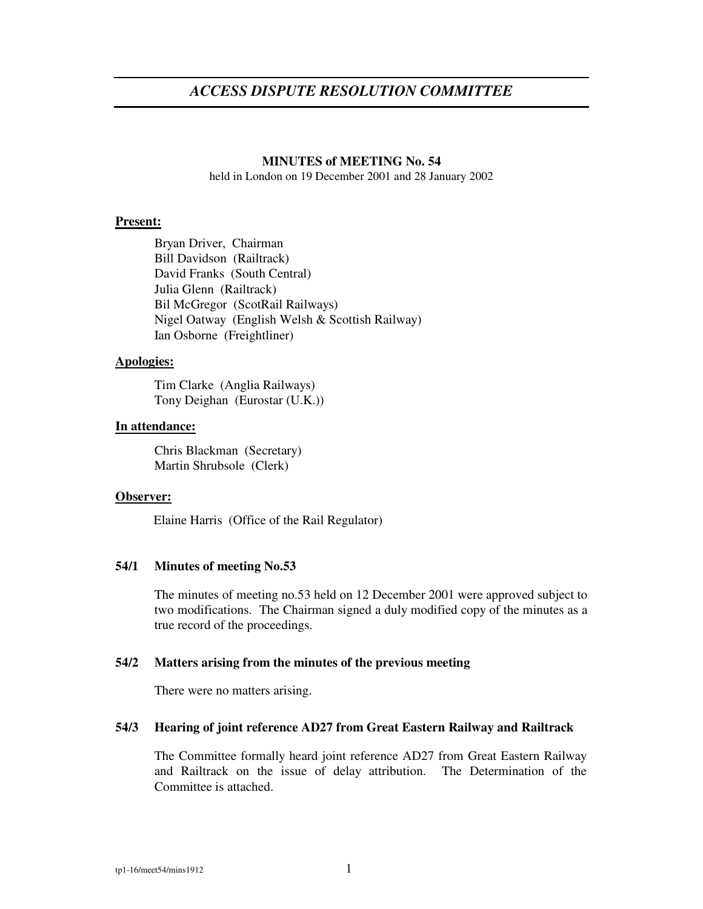# *ACCESS DISPUTE RESOLUTION COMMITTEE*

#### **MINUTES of MEETING No. 54**

held in London on 19 December 2001 and 28 January 2002

#### **Present:**

Bryan Driver, Chairman Bill Davidson (Railtrack) David Franks (South Central) Julia Glenn (Railtrack) Bil McGregor (ScotRail Railways) Nigel Oatway (English Welsh & Scottish Railway) Ian Osborne (Freightliner)

### **Apologies:**

Tim Clarke (Anglia Railways) Tony Deighan (Eurostar (U.K.))

### **In attendance:**

Chris Blackman (Secretary) Martin Shrubsole (Clerk)

#### **Observer:**

Elaine Harris (Office of the Rail Regulator)

#### **54/1 Minutes of meeting No.53**

The minutes of meeting no.53 held on 12 December 2001 were approved subject to two modifications. The Chairman signed a duly modified copy of the minutes as a true record of the proceedings.

## **54/2 Matters arising from the minutes of the previous meeting**

There were no matters arising.

#### **54/3 Hearing of joint reference AD27 from Great Eastern Railway and Railtrack**

The Committee formally heard joint reference AD27 from Great Eastern Railway and Railtrack on the issue of delay attribution. The Determination of the Committee is attached.